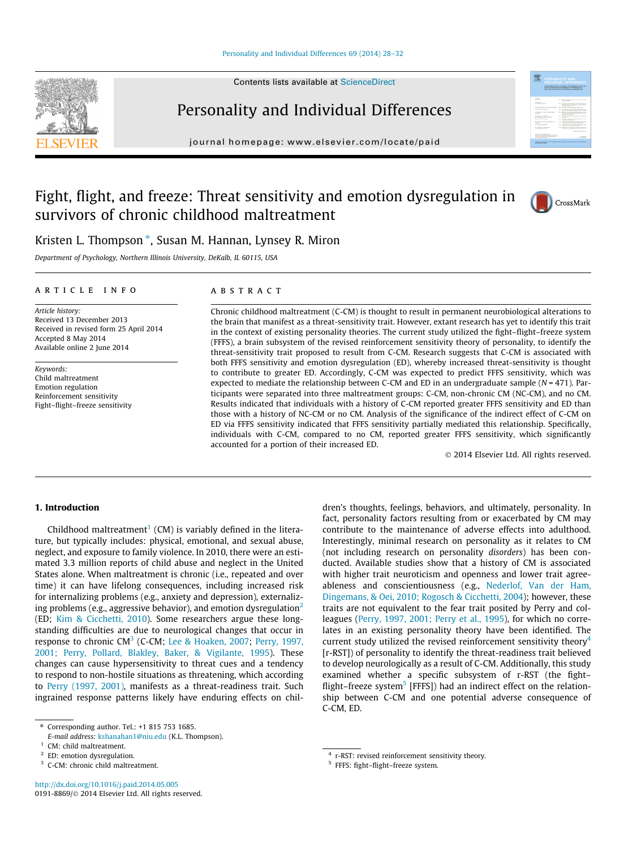Contents lists available at [ScienceDirect](http://www.sciencedirect.com/science/journal/01918869)





# Personality and Individual Differences

journal homepage: [www.elsevier.com/locate/paid](http://www.elsevier.com/locate/paid)

# Fight, flight, and freeze: Threat sensitivity and emotion dysregulation in survivors of chronic childhood maltreatment



Kristen L. Thompson \*, Susan M. Hannan, Lynsey R. Miron

Department of Psychology, Northern Illinois University, DeKalb, IL 60115, USA

### article info

Article history: Received 13 December 2013 Received in revised form 25 April 2014 Accepted 8 May 2014 Available online 2 June 2014

Keywords: Child maltreatment Emotion regulation Reinforcement sensitivity Fight–flight–freeze sensitivity

### **ABSTRACT**

Chronic childhood maltreatment (C-CM) is thought to result in permanent neurobiological alterations to the brain that manifest as a threat-sensitivity trait. However, extant research has yet to identify this trait in the context of existing personality theories. The current study utilized the fight–flight–freeze system (FFFS), a brain subsystem of the revised reinforcement sensitivity theory of personality, to identify the threat-sensitivity trait proposed to result from C-CM. Research suggests that C-CM is associated with both FFFS sensitivity and emotion dysregulation (ED), whereby increased threat-sensitivity is thought to contribute to greater ED. Accordingly, C-CM was expected to predict FFFS sensitivity, which was expected to mediate the relationship between C-CM and ED in an undergraduate sample  $(N = 471)$ . Participants were separated into three maltreatment groups: C-CM, non-chronic CM (NC-CM), and no CM. Results indicated that individuals with a history of C-CM reported greater FFFS sensitivity and ED than those with a history of NC-CM or no CM. Analysis of the significance of the indirect effect of C-CM on ED via FFFS sensitivity indicated that FFFS sensitivity partially mediated this relationship. Specifically, individuals with C-CM, compared to no CM, reported greater FFFS sensitivity, which significantly accounted for a portion of their increased ED.

- 2014 Elsevier Ltd. All rights reserved.

# 1. Introduction

Childhood maltreatment<sup>1</sup> (CM) is variably defined in the literature, but typically includes: physical, emotional, and sexual abuse, neglect, and exposure to family violence. In 2010, there were an estimated 3.3 million reports of child abuse and neglect in the United States alone. When maltreatment is chronic (i.e., repeated and over time) it can have lifelong consequences, including increased risk for internalizing problems (e.g., anxiety and depression), externalizing problems (e.g., aggressive behavior), and emotion dysregulation<sup>2</sup> (ED; [Kim & Cicchetti, 2010](#page--1-0)). Some researchers argue these longstanding difficulties are due to neurological changes that occur in response to chronic  $CM^3$  (C-CM; [Lee & Hoaken, 2007](#page--1-0); [Perry, 1997,](#page--1-0) [2001; Perry, Pollard, Blakley, Baker, & Vigilante, 1995](#page--1-0)). These changes can cause hypersensitivity to threat cues and a tendency to respond to non-hostile situations as threatening, which according to [Perry \(1997, 2001\),](#page--1-0) manifests as a threat-readiness trait. Such ingrained response patterns likely have enduring effects on children's thoughts, feelings, behaviors, and ultimately, personality. In fact, personality factors resulting from or exacerbated by CM may contribute to the maintenance of adverse effects into adulthood. Interestingly, minimal research on personality as it relates to CM (not including research on personality disorders) has been conducted. Available studies show that a history of CM is associated with higher trait neuroticism and openness and lower trait agreeableness and conscientiousness (e.g., [Nederlof, Van der Ham,](#page--1-0) [Dingemans, & Oei, 2010; Rogosch & Cicchetti, 2004](#page--1-0)); however, these traits are not equivalent to the fear trait posited by Perry and colleagues [\(Perry, 1997, 2001; Perry et al., 1995\)](#page--1-0), for which no correlates in an existing personality theory have been identified. The current study utilized the revised reinforcement sensitivity theory<sup>4</sup> [r-RST]) of personality to identify the threat-readiness trait believed to develop neurologically as a result of C-CM. Additionally, this study examined whether a specific subsystem of r-RST (the fight– flight–freeze system<sup>5</sup> [FFFS]) had an indirect effect on the relationship between C-CM and one potential adverse consequence of C-CM, ED.

<sup>⇑</sup> Corresponding author. Tel.: +1 815 753 1685.

E-mail address: [kshanahan1@niu.edu](mailto:kshanahan1@niu.edu) (K.L. Thompson).

<sup>&</sup>lt;sup>1</sup> CM: child maltreatment.

<sup>2</sup> ED: emotion dysregulation.

<sup>3</sup> C-CM: chronic child maltreatment.

<sup>4</sup> r-RST: revised reinforcement sensitivity theory.

<sup>5</sup> FFFS: fight–flight–freeze system.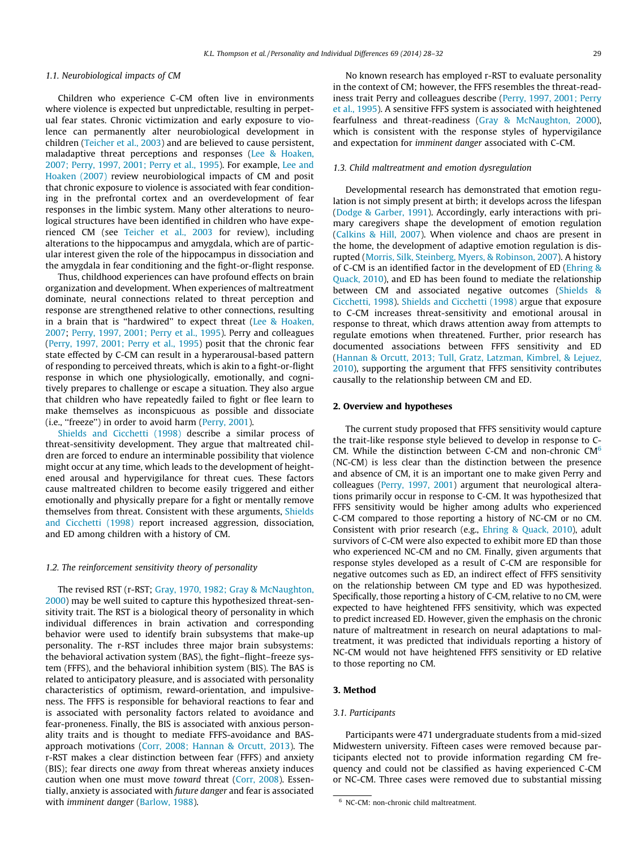#### 1.1. Neurobiological impacts of CM

Children who experience C-CM often live in environments where violence is expected but unpredictable, resulting in perpetual fear states. Chronic victimization and early exposure to violence can permanently alter neurobiological development in children [\(Teicher et al., 2003\)](#page--1-0) and are believed to cause persistent, maladaptive threat perceptions and responses ([Lee & Hoaken,](#page--1-0) [2007; Perry, 1997, 2001; Perry et al., 1995\)](#page--1-0). For example, [Lee and](#page--1-0) [Hoaken \(2007\)](#page--1-0) review neurobiological impacts of CM and posit that chronic exposure to violence is associated with fear conditioning in the prefrontal cortex and an overdevelopment of fear responses in the limbic system. Many other alterations to neurological structures have been identified in children who have experienced CM (see [Teicher et al., 2003](#page--1-0) for review), including alterations to the hippocampus and amygdala, which are of particular interest given the role of the hippocampus in dissociation and the amygdala in fear conditioning and the fight-or-flight response.

Thus, childhood experiences can have profound effects on brain organization and development. When experiences of maltreatment dominate, neural connections related to threat perception and response are strengthened relative to other connections, resulting in a brain that is ''hardwired'' to expect threat ([Lee & Hoaken,](#page--1-0) [2007](#page--1-0); [Perry, 1997, 2001; Perry et al., 1995\)](#page--1-0). Perry and colleagues ([Perry, 1997, 2001; Perry et al., 1995](#page--1-0)) posit that the chronic fear state effected by C-CM can result in a hyperarousal-based pattern of responding to perceived threats, which is akin to a fight-or-flight response in which one physiologically, emotionally, and cognitively prepares to challenge or escape a situation. They also argue that children who have repeatedly failed to fight or flee learn to make themselves as inconspicuous as possible and dissociate (i.e., ''freeze'') in order to avoid harm [\(Perry, 2001\)](#page--1-0).

[Shields and Cicchetti \(1998\)](#page--1-0) describe a similar process of threat-sensitivity development. They argue that maltreated children are forced to endure an interminable possibility that violence might occur at any time, which leads to the development of heightened arousal and hypervigilance for threat cues. These factors cause maltreated children to become easily triggered and either emotionally and physically prepare for a fight or mentally remove themselves from threat. Consistent with these arguments, [Shields](#page--1-0) [and Cicchetti \(1998\)](#page--1-0) report increased aggression, dissociation, and ED among children with a history of CM.

#### 1.2. The reinforcement sensitivity theory of personality

The revised RST (r-RST; [Gray, 1970, 1982; Gray & McNaughton,](#page--1-0) [2000](#page--1-0)) may be well suited to capture this hypothesized threat-sensitivity trait. The RST is a biological theory of personality in which individual differences in brain activation and corresponding behavior were used to identify brain subsystems that make-up personality. The r-RST includes three major brain subsystems: the behavioral activation system (BAS), the fight–flight–freeze system (FFFS), and the behavioral inhibition system (BIS). The BAS is related to anticipatory pleasure, and is associated with personality characteristics of optimism, reward-orientation, and impulsiveness. The FFFS is responsible for behavioral reactions to fear and is associated with personality factors related to avoidance and fear-proneness. Finally, the BIS is associated with anxious personality traits and is thought to mediate FFFS-avoidance and BASapproach motivations ([Corr, 2008; Hannan & Orcutt, 2013](#page--1-0)). The r-RST makes a clear distinction between fear (FFFS) and anxiety (BIS); fear directs one away from threat whereas anxiety induces caution when one must move toward threat ([Corr, 2008\)](#page--1-0). Essentially, anxiety is associated with future danger and fear is associated with imminent danger ([Barlow, 1988\)](#page--1-0).

No known research has employed r-RST to evaluate personality in the context of CM; however, the FFFS resembles the threat-readiness trait Perry and colleagues describe [\(Perry, 1997, 2001; Perry](#page--1-0) [et al., 1995\)](#page--1-0). A sensitive FFFS system is associated with heightened fearfulness and threat-readiness [\(Gray & McNaughton, 2000\)](#page--1-0), which is consistent with the response styles of hypervigilance and expectation for imminent danger associated with C-CM.

#### 1.3. Child maltreatment and emotion dysregulation

Developmental research has demonstrated that emotion regulation is not simply present at birth; it develops across the lifespan ([Dodge & Garber, 1991](#page--1-0)). Accordingly, early interactions with primary caregivers shape the development of emotion regulation ([Calkins & Hill, 2007](#page--1-0)). When violence and chaos are present in the home, the development of adaptive emotion regulation is disrupted ([Morris, Silk, Steinberg, Myers, & Robinson, 2007](#page--1-0)). A history of C-CM is an identified factor in the development of ED ([Ehring &](#page--1-0) [Quack, 2010\)](#page--1-0), and ED has been found to mediate the relationship between CM and associated negative outcomes [\(Shields &](#page--1-0) [Cicchetti, 1998](#page--1-0)). [Shields and Cicchetti \(1998\)](#page--1-0) argue that exposure to C-CM increases threat-sensitivity and emotional arousal in response to threat, which draws attention away from attempts to regulate emotions when threatened. Further, prior research has documented associations between FFFS sensitivity and ED ([Hannan & Orcutt, 2013; Tull, Gratz, Latzman, Kimbrel, & Lejuez,](#page--1-0) [2010](#page--1-0)), supporting the argument that FFFS sensitivity contributes causally to the relationship between CM and ED.

#### 2. Overview and hypotheses

The current study proposed that FFFS sensitivity would capture the trait-like response style believed to develop in response to C-CM. While the distinction between C-CM and non-chronic  $CM<sup>6</sup>$ (NC-CM) is less clear than the distinction between the presence and absence of CM, it is an important one to make given Perry and colleagues [\(Perry, 1997, 2001](#page--1-0)) argument that neurological alterations primarily occur in response to C-CM. It was hypothesized that FFFS sensitivity would be higher among adults who experienced C-CM compared to those reporting a history of NC-CM or no CM. Consistent with prior research (e.g., [Ehring & Quack, 2010](#page--1-0)), adult survivors of C-CM were also expected to exhibit more ED than those who experienced NC-CM and no CM. Finally, given arguments that response styles developed as a result of C-CM are responsible for negative outcomes such as ED, an indirect effect of FFFS sensitivity on the relationship between CM type and ED was hypothesized. Specifically, those reporting a history of C-CM, relative to no CM, were expected to have heightened FFFS sensitivity, which was expected to predict increased ED. However, given the emphasis on the chronic nature of maltreatment in research on neural adaptations to maltreatment, it was predicted that individuals reporting a history of NC-CM would not have heightened FFFS sensitivity or ED relative to those reporting no CM.

# 3. Method

## 3.1. Participants

Participants were 471 undergraduate students from a mid-sized Midwestern university. Fifteen cases were removed because participants elected not to provide information regarding CM frequency and could not be classified as having experienced C-CM or NC-CM. Three cases were removed due to substantial missing

<sup>6</sup> NC-CM: non-chronic child maltreatment.